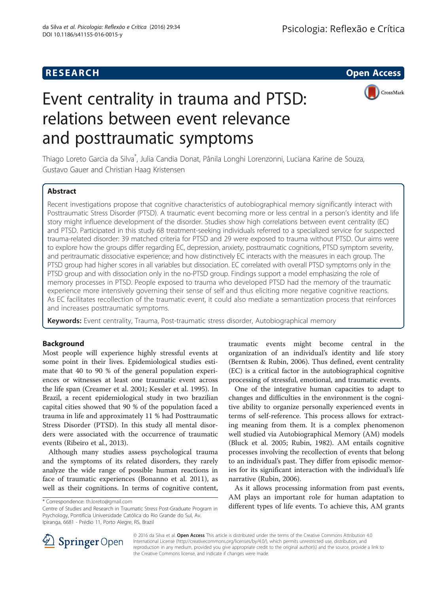# **RESEARCH CHE Open Access**

# Event centrality in trauma and PTSD: relations between event relevance and posttraumatic symptoms



Thiago Loreto Garcia da Silva<sup>\*</sup>, Julia Candia Donat, Pânila Longhi Lorenzonni, Luciana Karine de Souza, Gustavo Gauer and Christian Haag Kristensen

# Abstract

Recent investigations propose that cognitive characteristics of autobiographical memory significantly interact with Posttraumatic Stress Disorder (PTSD). A traumatic event becoming more or less central in a person's identity and life story might influence development of the disorder. Studies show high correlations between event centrality (EC) and PTSD. Participated in this study 68 treatment-seeking individuals referred to a specialized service for suspected trauma-related disorder: 39 matched criteria for PTSD and 29 were exposed to trauma without PTSD. Our aims were to explore how the groups differ regarding EC, depression, anxiety, posttraumatic cognitions, PTSD symptom severity, and peritraumatic dissociative experience; and how distinctively EC interacts with the measures in each group. The PTSD group had higher scores in all variables but dissociation. EC correlated with overall PTSD symptoms only in the PTSD group and with dissociation only in the no-PTSD group. Findings support a model emphasizing the role of memory processes in PTSD. People exposed to trauma who developed PTSD had the memory of the traumatic experience more intensively governing their sense of self and thus eliciting more negative cognitive reactions. As EC facilitates recollection of the traumatic event, it could also mediate a semantization process that reinforces and increases posttraumatic symptoms.

Keywords: Event centrality, Trauma, Post-traumatic stress disorder, Autobiographical memory

# Background

Most people will experience highly stressful events at some point in their lives. Epidemiological studies estimate that 40 to 90 % of the general population experiences or witnesses at least one traumatic event across the life span (Creamer et al. [2001;](#page-6-0) Kessler et al. [1995](#page-6-0)). In Brazil, a recent epidemiological study in two brazilian capital cities showed that 90 % of the population faced a trauma in life and approximately 11 % had Posttraumatic Stress Disorder (PTSD). In this study all mental disorders were associated with the occurrence of traumatic events (Ribeiro et al., [2013](#page-6-0)).

Although many studies assess psychological trauma and the symptoms of its related disorders, they rarely analyze the wide range of possible human reactions in face of traumatic experiences (Bonanno et al. [2011\)](#page-5-0), as well as their cognitions. In terms of cognitive content,

traumatic events might become central in the organization of an individual's identity and life story (Berntsen & Rubin, [2006](#page-6-0)). Thus defined, event centrality (EC) is a critical factor in the autobiographical cognitive processing of stressful, emotional, and traumatic events.

One of the integrative human capacities to adapt to changes and difficulties in the environment is the cognitive ability to organize personally experienced events in terms of self-reference. This process allows for extracting meaning from them. It is a complex phenomenon well studied via Autobiographical Memory (AM) models (Bluck et al. [2005;](#page-5-0) Rubin, [1982\)](#page-6-0). AM entails cognitive processes involving the recollection of events that belong to an individual's past. They differ from episodic memories for its significant interaction with the individual's life narrative (Rubin, [2006](#page-6-0)).

As it allows processing information from past events, AM plays an important role for human adaptation to different types of life events. To achieve this, AM grants \* Correspondence: [th.loreto@gmail.com](mailto:th.loreto@gmail.com)



© 2016 da Silva et al. Open Access This article is distributed under the terms of the Creative Commons Attribution 4.0 International License ([http://creativecommons.org/licenses/by/4.0/\)](http://creativecommons.org/licenses/by/4.0/), which permits unrestricted use, distribution, and reproduction in any medium, provided you give appropriate credit to the original author(s) and the source, provide a link to the Creative Commons license, and indicate if changes were made.

Centre of Studies and Research in Traumatic Stress Post-Graduate Program in Psychology, Pontifícia Universidade Católica do Rio Grande do Sul, Av. Ipiranga, 6681 - Prédio 11, Porto Alegre, RS, Brazil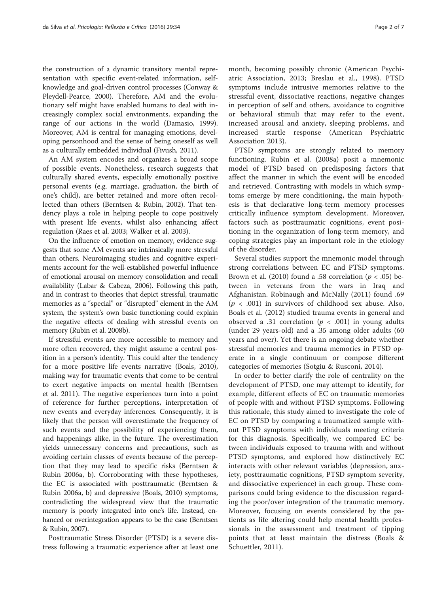the construction of a dynamic transitory mental representation with specific event-related information, selfknowledge and goal-driven control processes (Conway & Pleydell-Pearce, [2000\)](#page-6-0). Therefore, AM and the evolutionary self might have enabled humans to deal with increasingly complex social environments, expanding the range of our actions in the world (Damasio, [1999](#page-6-0)). Moreover, AM is central for managing emotions, developing personhood and the sense of being oneself as well as a culturally embedded individual (Fivush, [2011](#page-6-0)).

An AM system encodes and organizes a broad scope of possible events. Nonetheless, research suggests that culturally shared events, especially emotionally positive personal events (e.g. marriage, graduation, the birth of one's child), are better retained and more often recollected than others (Berntsen & Rubin, [2002](#page-5-0)). That tendency plays a role in helping people to cope positively with present life events, whilst also enhancing affect regulation (Raes et al. [2003;](#page-6-0) Walker et al. [2003](#page-6-0)).

On the influence of emotion on memory, evidence suggests that some AM events are intrinsically more stressful than others. Neuroimaging studies and cognitive experiments account for the well-established powerful influence of emotional arousal on memory consolidation and recall availability (Labar & Cabeza, [2006](#page-6-0)). Following this path, and in contrast to theories that depict stressful, traumatic memories as a "special" or "disrupted" element in the AM system, the system's own basic functioning could explain the negative effects of dealing with stressful events on memory (Rubin et al. [2008b](#page-6-0)).

If stressful events are more accessible to memory and more often recovered, they might assume a central position in a person's identity. This could alter the tendency for a more positive life events narrative (Boals, [2010](#page-5-0)), making way for traumatic events that come to be central to exert negative impacts on mental health (Berntsen et al. [2011\)](#page-5-0). The negative experiences turn into a point of reference for further perceptions, interpretation of new events and everyday inferences. Consequently, it is likely that the person will overestimate the frequency of such events and the possibility of experiencing them, and happenings alike, in the future. The overestimation yields unnecessary concerns and precautions, such as avoiding certain classes of events because of the perception that they may lead to specific risks (Berntsen & Rubin [2006a](#page-5-0), [b\)](#page-5-0). Corroborating with these hypotheses, the EC is associated with posttraumatic (Berntsen & Rubin [2006a, b](#page-5-0)) and depressive (Boals, [2010\)](#page-5-0) symptoms, contradicting the widespread view that the traumatic memory is poorly integrated into one's life. Instead, enhanced or overintegration appears to be the case (Berntsen & Rubin, [2007](#page-5-0)).

Posttraumatic Stress Disorder (PTSD) is a severe distress following a traumatic experience after at least one

month, becoming possibly chronic (American Psychiatric Association, [2013](#page-5-0); Breslau et al., [1998](#page-5-0)). PTSD symptoms include intrusive memories relative to the stressful event, dissociative reactions, negative changes in perception of self and others, avoidance to cognitive or behavioral stimuli that may refer to the event, increased arousal and anxiety, sleeping problems, and

Association [2013](#page-5-0)). PTSD symptoms are strongly related to memory functioning. Rubin et al. ([2008a](#page-6-0)) posit a mnemonic model of PTSD based on predisposing factors that affect the manner in which the event will be encoded and retrieved. Contrasting with models in which symptoms emerge by mere conditioning, the main hypothesis is that declarative long-term memory processes critically influence symptom development. Moreover, factors such as posttraumatic cognitions, event positioning in the organization of long-term memory, and coping strategies play an important role in the etiology of the disorder.

increased startle response (American Psychiatric

Several studies support the mnemonic model through strong correlations between EC and PTSD symptoms. Brown et al. ([2010\)](#page-5-0) found a .58 correlation ( $p < .05$ ) between in veterans from the wars in Iraq and Afghanistan. Robinaugh and McNally ([2011](#page-6-0)) found .69  $(p < .001)$  in survivors of childhood sex abuse. Also, Boals et al. ([2012\)](#page-5-0) studied trauma events in general and observed a .31 correlation ( $p < .001$ ) in young adults (under 29 years-old) and a .35 among older adults (60 years and over). Yet there is an ongoing debate whether stressful memories and trauma memories in PTSD operate in a single continuum or compose different categories of memories (Sotgiu & Rusconi, [2014\)](#page-6-0).

In order to better clarify the role of centrality on the development of PTSD, one may attempt to identify, for example, different effects of EC on traumatic memories of people with and without PTSD symptoms. Following this rationale, this study aimed to investigate the role of EC on PTSD by comparing a traumatized sample without PTSD symptoms with individuals meeting criteria for this diagnosis. Specifically, we compared EC between individuals exposed to trauma with and without PTSD symptoms, and explored how distinctively EC interacts with other relevant variables (depression, anxiety, posttraumatic cognitions, PTSD symptom severity, and dissociative experience) in each group. These comparisons could bring evidence to the discussion regarding the poor/over integration of the traumatic memory. Moreover, focusing on events considered by the patients as life altering could help mental health professionals in the assessment and treatment of tipping points that at least maintain the distress (Boals & Schuettler, [2011\)](#page-6-0).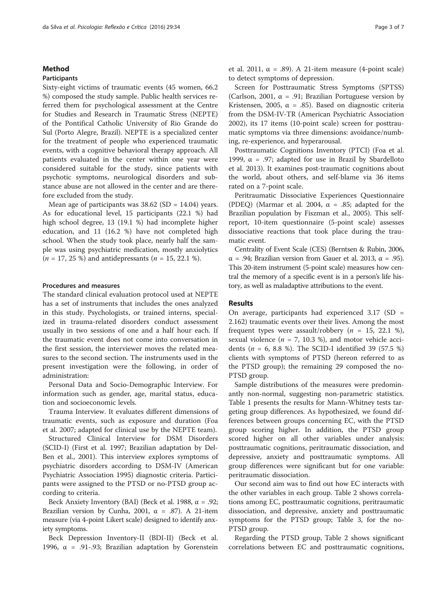# Method

### Participants

Sixty-eight victims of traumatic events (45 women, 66.2 %) composed the study sample. Public health services referred them for psychological assessment at the Centre for Studies and Research in Traumatic Stress (NEPTE) of the Pontifical Catholic University of Rio Grande do Sul (Porto Alegre, Brazil). NEPTE is a specialized center for the treatment of people who experienced traumatic events, with a cognitive behavioral therapy approach. All patients evaluated in the center within one year were considered suitable for the study, since patients with psychotic symptoms, neurological disorders and substance abuse are not allowed in the center and are therefore excluded from the study.

Mean age of participants was 38.62 (SD = 14.04) years. As for educational level, 15 participants (22.1 %) had high school degree, 13 (19.1 %) had incomplete higher education, and 11 (16.2 %) have not completed high school. When the study took place, nearly half the sample was using psychiatric medication, mostly anxiolytics  $(n = 17, 25, %)$  and antidepressants  $(n = 15, 22.1, %)$ .

## Procedures and measures

The standard clinical evaluation protocol used at NEPTE has a set of instruments that includes the ones analyzed in this study. Psychologists, or trained interns, specialized in trauma-related disorders conduct assessment usually in two sessions of one and a half hour each. If the traumatic event does not come into conversation in the first session, the interviewer moves the related measures to the second section. The instruments used in the present investigation were the following, in order of administration:

Personal Data and Socio-Demographic Interview. For information such as gender, age, marital status, education and socioeconomic levels.

Trauma Interview. It evaluates different dimensions of traumatic events, such as exposure and duration (Foa et al. [2007;](#page-6-0) adapted for clinical use by the NEPTE team).

Structured Clinical Interview for DSM Disorders (SCID-I) (First et al. [1997](#page-6-0); Brazilian adaptation by Del-Ben et al., [2001\)](#page-6-0). This interview explores symptoms of psychiatric disorders according to DSM-IV (American Psychiatric Association [1995\)](#page-5-0) diagnostic criteria. Participants were assigned to the PTSD or no-PTSD group according to criteria.

Beck Anxiety Inventory (BAI) (Beck et al. [1988](#page-5-0),  $\alpha = .92$ ; Brazilian version by Cunha, [2001,](#page-6-0)  $\alpha$  = .87). A 21-item measure (via 4-point Likert scale) designed to identify anxiety symptoms.

Beck Depression Inventory-II (BDI-II) (Beck et al. [1996](#page-5-0), α = .91-.93; Brazilian adaptation by Gorenstein et al. [2011,](#page-6-0)  $\alpha$  = .89). A 21-item measure (4-point scale) to detect symptoms of depression.

Screen for Posttraumatic Stress Symptoms (SPTSS) (Carlson, [2001,](#page-6-0)  $\alpha$  = .91; Brazilian Portuguese version by Kristensen, [2005,](#page-6-0)  $\alpha$  = .85). Based on diagnostic criteria from the DSM-IV-TR (American Psychiatric Association [2002](#page-5-0)), its 17 items (10-point scale) screen for posttraumatic symptoms via three dimensions: avoidance/numbing, re-experience, and hyperarousal.

Posttraumatic Cognitions Inventory (PTCI) (Foa et al. [1999](#page-6-0),  $\alpha$  = .97; adapted for use in Brazil by Sbardelloto et al. [2013](#page-6-0)). It examines post-traumatic cognitions about the world, about others, and self-blame via 36 items rated on a 7-point scale.

Peritraumatic Dissociative Experiences Questionnaire (PDEQ) (Marmar et al. [2004,](#page-6-0)  $\alpha$  = .85; adapted for the Brazilian population by Fiszman et al., [2005](#page-6-0)). This selfreport, 10-item questionnaire (5-point scale) assesses dissociative reactions that took place during the traumatic event.

Centrality of Event Scale (CES) (Berntsen & Rubin, [2006](#page-6-0), α = .94; Brazilian version from Gauer et al. [2013](#page-6-0), α = .95). This 20-item instrument (5-point scale) measures how central the memory of a specific event is in a person's life history, as well as maladaptive attributions to the event.

# Results

On average, participants had experienced  $3.17$  (SD = 2.162) traumatic events over their lives. Among the most frequent types were assault/robbery  $(n = 15, 22.1 \%)$ , sexual violence ( $n = 7$ , 10.3 %), and motor vehicle accidents ( $n = 6$ , 8.8 %). The SCID-I identified 39 (57.5 %) clients with symptoms of PTSD (hereon referred to as the PTSD group); the remaining 29 composed the no-PTSD group.

Sample distributions of the measures were predominantly non-normal, suggesting non-parametric statistics. Table [1](#page-3-0) presents the results for Mann-Whitney tests targeting group differences. As hypothesized, we found differences between groups concerning EC, with the PTSD group scoring higher. In addition, the PTSD group scored higher on all other variables under analysis: posttraumatic cognitions, peritraumatic dissociation, and depressive, anxiety and posttraumatic symptoms. All group differences were significant but for one variable: peritraumatic dissociation.

Our second aim was to find out how EC interacts with the other variables in each group. Table [2](#page-3-0) shows correlations among EC, posttraumatic cognitions, peritraumatic dissociation, and depressive, anxiety and posttraumatic symptoms for the PTSD group; Table [3](#page-3-0), for the no-PTSD group.

Regarding the PTSD group, Table [2](#page-3-0) shows significant correlations between EC and posttraumatic cognitions,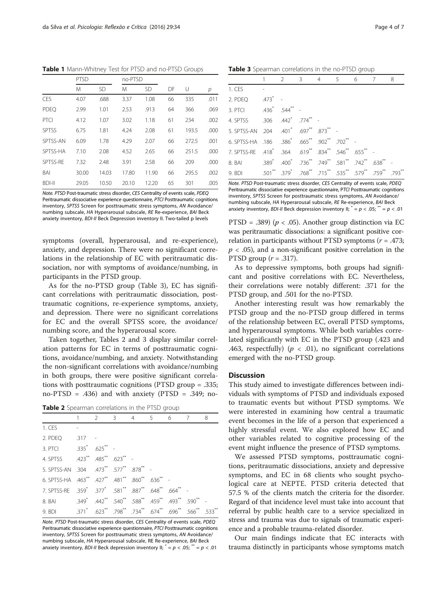<span id="page-3-0"></span>Table 1 Mann-Whitney Test for PTSD and no-PTSD Groups

|               | <b>PTSD</b> |           | no-PTSD |           |    |       |      |
|---------------|-------------|-----------|---------|-----------|----|-------|------|
|               | M           | <b>SD</b> | M       | <b>SD</b> | DF | U     | р    |
| CES           | 4.07        | .688      | 3.37    | 1.08      | 66 | 335   | .011 |
| <b>PDEO</b>   | 2.99        | 1.01      | 2.53    | .913      | 64 | 366   | .069 |
| PTCI          | 4.12        | 1.07      | 3.02    | 1.18      | 61 | 234   | .002 |
| <b>SPTSS</b>  | 6.75        | 1.81      | 4.24    | 2.08      | 61 | 193.5 | .000 |
| SPTSS-AN      | 6.09        | 1.78      | 4.29    | 2.07      | 66 | 272.5 | .001 |
| SPTSS-HA      | 7.10        | 2.08      | 4.52    | 2.65      | 66 | 251.5 | .000 |
| SPTSS-RF      | 7.32        | 2.48      | 3.91    | 2.58      | 66 | 209   | .000 |
| BAI           | 30.00       | 14.03     | 17.80   | 11.90     | 66 | 295.5 | .002 |
| <b>BDI-II</b> | 29.05       | 10.50     | 20.10   | 12.20     | 65 | 301   | .005 |

Note. PTSD Post-traumatic stress disorder, CES Centrality of events scale, PDEQ Peritraumatic dissociative experience questionnaire, PTCI Posttraumatic cognitions inventory, SPTSS Screen for posttraumatic stress symptoms, AN Avoidance/ numbing subscale, HA Hyperarousal subscale, RE Re-experience, BAI Beck anxiety inventory, BDI-II Beck Depression inventory II. Two-tailed p levels

symptoms (overall, hyperarousal, and re-experience), anxiety, and depression. There were no significant correlations in the relationship of EC with peritraumatic dissociation, nor with symptoms of avoidance/numbing, in participants in the PTSD group.

As for the no-PTSD group (Table 3), EC has significant correlations with peritraumatic dissociation, posttraumatic cognitions, re-experience symptoms, anxiety, and depression. There were no significant correlations for EC and the overall SPTSS score, the avoidance/ numbing score, and the hyperarousal score.

Taken together, Tables 2 and 3 display similar correlation patterns for EC in terms of posttraumatic cognitions, avoidance/numbing, and anxiety. Notwithstanding the non-significant correlations with avoidance/numbing in both groups, there were positive significant correlations with posttraumatic cognitions (PTSD group = .335; no-PTSD = .436) and with anxiety (PTSD = .349; no-

Table 2 Spearman correlations in the PTSD group

|                                                                                           |  | $1 \t2 \t3 \t4 \t5 \t6 \t7$ |  |  |  |  | - 8 |  |
|-------------------------------------------------------------------------------------------|--|-----------------------------|--|--|--|--|-----|--|
| 1. CES                                                                                    |  |                             |  |  |  |  |     |  |
| 2. PDEO 317 -                                                                             |  |                             |  |  |  |  |     |  |
| $3. PTCI$ $.335^*$ $.625^{**}$ -                                                          |  |                             |  |  |  |  |     |  |
| 4. SPTSS $.423^{**}$ $.485^{**}$ $.623^{**}$ -                                            |  |                             |  |  |  |  |     |  |
| 5. SPTSS-AN .304 .473** .577** .878** -                                                   |  |                             |  |  |  |  |     |  |
| 6. SPTSS-HA .463** .427** .481** .860** .636** -                                          |  |                             |  |  |  |  |     |  |
|                                                                                           |  |                             |  |  |  |  |     |  |
| 8. BAI $.349^*$ $.442^{**}$ $.540^{**}$ $.588^{**}$ $.459^{**}$ $.493^{**}$ $.590^{**}$ - |  |                             |  |  |  |  |     |  |
| 9. BDI 371 523 "798" 734" 574" 596" 566" 533"                                             |  |                             |  |  |  |  |     |  |

Note. PTSD Post-traumatic stress disorder, CES Centrality of events scale, PDEQ Peritraumatic dissociative experience questionnaire, PTCI Posttraumatic cognitions<br>inventory, SPTSS Screen for posttraumatic stress symptoms, AN Avoidance/ inventory, SPTSS Screen for posttraumatic stress symptoms, AN Avoidance/<br>numbing subscale. HA Hyperarousal subscale. PE Re-experience. RALBeck numbing subscale, HA Hyperarousal subscale, RE Re-experience, BAI Beck<br>anxiety inventory, RDLII Beck denression inventory II: \* = n < 05: \*\* = n < anxiety inventory, BDI-II Beck depression inventory II;  $* = p < .05$ ;  $** = p < .01$ 

|                                                                                                                                            |  |  |  |  | 2 3 4 5 6 7 8 |  |  |
|--------------------------------------------------------------------------------------------------------------------------------------------|--|--|--|--|---------------|--|--|
| 1. CES                                                                                                                                     |  |  |  |  |               |  |  |
| 2. PDEQ $473^*$ -                                                                                                                          |  |  |  |  |               |  |  |
| 3. PTCI $436^*$ $.544^{**}$ -                                                                                                              |  |  |  |  |               |  |  |
| 4. SPTSS 306 .442 <sup>*</sup> .774 <sup>**</sup> -                                                                                        |  |  |  |  |               |  |  |
| 5. SPTSS-AN .204 .401* .697** .873** -                                                                                                     |  |  |  |  |               |  |  |
| 6. SPTSS-HA .186 .386 * .665 ** .902 ** .702 **                                                                                            |  |  |  |  |               |  |  |
| 7. SPTSS-RE .418 * .364 .619 ** .834 ** .546 ** .655 ** -                                                                                  |  |  |  |  |               |  |  |
| 8. BAI 389 <sup>*</sup> .400 <sup>*</sup> .736 <sup>**</sup> .749 <sup>**</sup> .581 <sup>**</sup> .742 <sup>**</sup> .638 <sup>**</sup> - |  |  |  |  |               |  |  |
| 9. BDI $.501^{**}$ $.379^{*}$ $.768^{**}$ $.715^{**}$ $.535^{**}$ $.579^{**}$ $.793^{**}$                                                  |  |  |  |  |               |  |  |
|                                                                                                                                            |  |  |  |  |               |  |  |

Note. PTSD Post-traumatic stress disorder, CES Centrality of events scale, PDEQ Peritraumatic dissociative experience questionnaire, PTCI Posttraumatic cognitions inventory, SPTSS Screen for posttraumatic stress symptoms, AN Avoidance/<br>numbing subscale. HA Hyperarousal subscale. RE Re-experience. BAI Beck numbing subscale, HA Hyperarousal subscale, RE Re-experience, BAI Beck<br>anxiety inventory, BDI-II Beck depression inventory II;  $^* = p < .05$ ;  $^{**} = p < .01$ 

PTSD = .389) ( $p < .05$ ). Another group distinction via EC was peritraumatic dissociations: a significant positive correlation in participants without PTSD symptoms  $(r = .473;$  $p < .05$ ), and a non-significant positive correlation in the PTSD group  $(r = .317)$ .

As to depressive symptoms, both groups had significant and positive correlations with EC. Nevertheless, their correlations were notably different: .371 for the PTSD group, and .501 for the no-PTSD.

Another interesting result was how remarkably the PTSD group and the no-PTSD group differed in terms of the relationship between EC, overall PTSD symptoms, and hyperarousal symptoms. While both variables correlated significantly with EC in the PTSD group (.423 and .463, respectfully) ( $p < .01$ ), no significant correlations emerged with the no-PTSD group.

# **Discussion**

This study aimed to investigate differences between individuals with symptoms of PTSD and individuals exposed to traumatic events but without PTSD symptoms. We were interested in examining how central a traumatic event becomes in the life of a person that experienced a highly stressful event. We also explored how EC and other variables related to cognitive processing of the event might influence the presence of PTSD symptoms.

We assessed PTSD symptoms, posttraumatic cognitions, peritraumatic dissociations, anxiety and depressive symptoms, and EC in 68 clients who sought psychological care at NEPTE. PTSD criteria detected that 57.5 % of the clients match the criteria for the disorder. Regard of that incidence level must take into account that referral by public health care to a service specialized in stress and trauma was due to signals of traumatic experience and a probable trauma-related disorder.

Our main findings indicate that EC interacts with trauma distinctly in participants whose symptoms match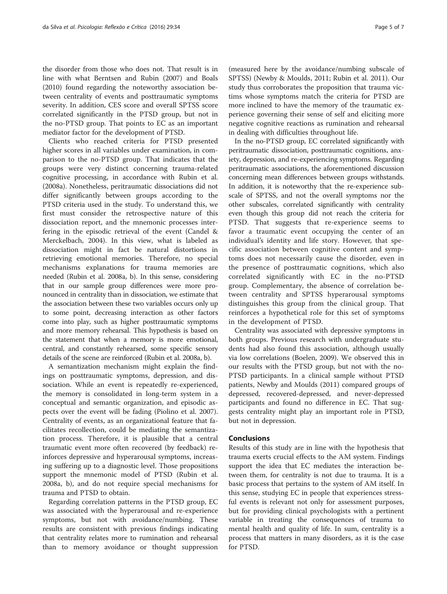the disorder from those who does not. That result is in line with what Berntsen and Rubin [\(2007\)](#page-5-0) and Boals ([2010](#page-5-0)) found regarding the noteworthy association between centrality of events and posttraumatic symptoms severity. In addition, CES score and overall SPTSS score correlated significantly in the PTSD group, but not in the no-PTSD group. That points to EC as an important mediator factor for the development of PTSD.

Clients who reached criteria for PTSD presented higher scores in all variables under examination, in comparison to the no-PTSD group. That indicates that the groups were very distinct concerning trauma-related cognitive processing, in accordance with Rubin et al. ([2008a\)](#page-6-0). Nonetheless, peritraumatic dissociations did not differ significantly between groups according to the PTSD criteria used in the study. To understand this, we first must consider the retrospective nature of this dissociation report, and the mnemonic processes interfering in the episodic retrieval of the event (Candel & Merckelbach, [2004](#page-6-0)). In this view, what is labeled as dissociation might in fact be natural distortions in retrieving emotional memories. Therefore, no special mechanisms explanations for trauma memories are needed (Rubin et al. [2008a](#page-6-0), [b\)](#page-6-0). In this sense, considering that in our sample group differences were more pronounced in centrality than in dissociation, we estimate that the association between these two variables occurs only up to some point, decreasing interaction as other factors come into play, such as higher posttraumatic symptoms and more memory rehearsal. This hypothesis is based on the statement that when a memory is more emotional, central, and constantly rehearsed, some specific sensory details of the scene are reinforced (Rubin et al. [2008a](#page-6-0), [b\)](#page-6-0).

A semantization mechanism might explain the findings on posttraumatic symptoms, depression, and dissociation. While an event is repeatedly re-experienced, the memory is consolidated in long-term system in a conceptual and semantic organization, and episodic aspects over the event will be fading (Piolino et al. [2007](#page-6-0)). Centrality of events, as an organizational feature that facilitates recollection, could be mediating the semantization process. Therefore, it is plausible that a central traumatic event more often recovered (by feedback) reinforces depressive and hyperarousal symptoms, increasing suffering up to a diagnostic level. Those propositions support the mnemonic model of PTSD (Rubin et al. [2008a, b](#page-6-0)), and do not require special mechanisms for trauma and PTSD to obtain.

Regarding correlation patterns in the PTSD group, EC was associated with the hyperarousal and re-experience symptoms, but not with avoidance/numbing. These results are consistent with previous findings indicating that centrality relates more to rumination and rehearsal than to memory avoidance or thought suppression

(measured here by the avoidance/numbing subscale of SPTSS) (Newby & Moulds, [2011;](#page-6-0) Rubin et al. [2011\)](#page-6-0). Our study thus corroborates the proposition that trauma victims whose symptoms match the criteria for PTSD are more inclined to have the memory of the traumatic experience governing their sense of self and eliciting more negative cognitive reactions as rumination and rehearsal in dealing with difficulties throughout life.

In the no-PTSD group, EC correlated significantly with peritraumatic dissociation, posttraumatic cognitions, anxiety, depression, and re-experiencing symptoms. Regarding peritraumatic associations, the aforementioned discussion concerning mean differences between groups withstands. In addition, it is noteworthy that the re-experience subscale of SPTSS, and not the overall symptoms nor the other subscales, correlated significantly with centrality even though this group did not reach the criteria for PTSD. That suggests that re-experience seems to favor a traumatic event occupying the center of an individual's identity and life story. However, that specific association between cognitive content and symptoms does not necessarily cause the disorder, even in the presence of posttraumatic cognitions, which also correlated significantly with EC in the no-PTSD group. Complementary, the absence of correlation between centrality and SPTSS hyperarousal symptoms distinguishes this group from the clinical group. That reinforces a hypothetical role for this set of symptoms in the development of PTSD.

Centrality was associated with depressive symptoms in both groups. Previous research with undergraduate students had also found this association, although usually via low correlations (Boelen, [2009\)](#page-5-0). We observed this in our results with the PTSD group, but not with the no-PTSD participants. In a clinical sample without PTSD patients, Newby and Moulds ([2011](#page-6-0)) compared groups of depressed, recovered-depressed, and never-depressed participants and found no difference in EC. That suggests centrality might play an important role in PTSD, but not in depression.

# Conclusions

Results of this study are in line with the hypothesis that trauma exerts crucial effects to the AM system. Findings support the idea that EC mediates the interaction between them, for centrality is not due to trauma. It is a basic process that pertains to the system of AM itself. In this sense, studying EC in people that experiences stressful events is relevant not only for assessment purposes, but for providing clinical psychologists with a pertinent variable in treating the consequences of trauma to mental health and quality of life. In sum, centrality is a process that matters in many disorders, as it is the case for PTSD.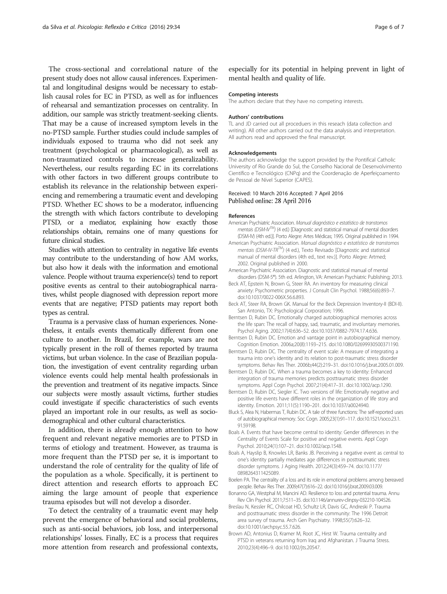<span id="page-5-0"></span>The cross-sectional and correlational nature of the present study does not allow causal inferences. Experimental and longitudinal designs would be necessary to establish causal roles for EC in PTSD, as well as for influences of rehearsal and semantization processes on centrality. In addition, our sample was strictly treatment-seeking clients. That may be a cause of increased symptom levels in the no-PTSD sample. Further studies could include samples of individuals exposed to trauma who did not seek any treatment (psychological or pharmacological), as well as non-traumatized controls to increase generalizability. Nevertheless, our results regarding EC in its correlations with other factors in two different groups contribute to establish its relevance in the relationship between experiencing and remembering a traumatic event and developing PTSD. Whether EC shows to be a moderator, influencing the strength with which factors contribute to developing PTSD, or a mediator, explaining how exactly those relationships obtain, remains one of many questions for future clinical studies.

Studies with attention to centrality in negative life events may contribute to the understanding of how AM works, but also how it deals with the information and emotional valence. People without trauma experience(s) tend to report positive events as central to their autobiographical narratives, whilst people diagnosed with depression report more events that are negative; PTSD patients may report both types as central.

Trauma is a pervasive class of human experiences. Nonetheless, it entails events thematically different from one culture to another. In Brazil, for example, wars are not typically present in the roll of themes reported by trauma victims, but urban violence. In the case of Brazilian population, the investigation of event centrality regarding urban violence events could help mental health professionals in the prevention and treatment of its negative impacts. Since our subjects were mostly assault victims, further studies could investigate if specific characteristics of such events played an important role in our results, as well as sociodemographical and other cultural characteristics.

In addition, there is already enough attention to how frequent and relevant negative memories are to PTSD in terms of etiology and treatment. However, as trauma is more frequent than the PTSD per se, it is important to understand the role of centrality for the quality of life of the population as a whole. Specifically, it is pertinent to direct attention and research efforts to approach EC aiming the large amount of people that experience trauma episodes but will not develop a disorder.

To detect the centrality of a traumatic event may help prevent the emergence of behavioral and social problems, such as anti-social behaviors, job loss, and interpersonal relationships' losses. Finally, EC is a process that requires more attention from research and professional contexts, especially for its potential in helping prevent in light of mental health and quality of life.

#### Competing interests

The authors declare that they have no competing interests.

#### Authors' contributions

TL and JD carried out all proceduers in this reseach (data collection and writing). All other authors carried out the data analysis and interpretation. All authors read and approved the final manuscript.

#### Acknowledgements

The authors acknowledge the support provided by the Pontifical Catholic University of Rio Grande do Sul, the Conselho Nacional de Desenvolvimento Científico e Tecnológico (CNPq) and the Coordenação de Aperfeiçoamento de Pessoal de Nível Superior (CAPES).

#### Received: 10 March 2016 Accepted: 7 April 2016 Published online: 28 April 2016

#### References

- American Psychiatric Association. Manual diagnóstico e estatístico de transtornos  $m$ entais (DSM- $N^{TM}$ ) (4 ed.) [Diagnostic and statistical manual of mental disorders (DSM-IV) (4th ed.)]. Porto Alegre: Artes Médicas; 1995. Original published in 1994.
- American Psychiatric Association. Manual diagnóstico e estatístico de transtornos mentais (DSM-IV-TR<sup>TM</sup>) (4 ed.), Texto Revisado [Diagnostic and statistical manual of mental disorders (4th ed., text rev.)]. Porto Alegre: Artmed; 2002. Original published in 2000.
- American Psychiatric Association. Diagnostic and statistical manual of mental disorders (DSM-5®). 5th ed. Arlington, VA: American Psychiatric Publishing; 2013.
- Beck AT, Epstein N, Brown G, Steer RA. An inventory for measuring clinical anxiety: Psychometric properties. J Consult Clin Psychol. 1988;56(6):893–7. doi[:10.1037/0022-006X.56.6.893](http://dx.doi.org/10.1037/0022-006X.56.6.893).
- Beck AT, Steer RA, Brown GK. Manual for the Beck Depression Inventory-II (BDI-II). San Antonio, TX: Psychological Corporation; 1996.
- Berntsen D, Rubin DC. Emotionally charged autobiographical memories across the life span: The recall of happy, sad, traumatic, and involuntary memories. Psychol Aging. 2002;17(4):636–52. doi[:10.1037/0882-7974.17.4.636.](http://dx.doi.org/10.1037/0882-7974.17.4.636)
- Berntsen D, Rubin DC. Emotion and vantage point in autobiographical memory. Cognition Emotion. 2006a;20(8):1193–215. doi:[10.1080/02699930500371190.](http://dx.doi.org/10.1080/02699930500371190)
- Berntsen D, Rubin DC. The centrality of event scale: A measure of integrating a trauma into one's identity and its relation to post-traumatic stress disorder symptoms. Behav Res Ther. 2006b;44(2):219–31. doi:[10.1016/j.brat.2005.01.009.](http://dx.doi.org/10.1016/j.brat.2005.01.009)
- Berntsen D, Rubin DC. When a trauma becomes a key to identity: Enhanced integration of trauma memories predicts posttraumatic stress disorder symptoms. Appl Cogn Psychol. 2007;21(4):417–31. doi:[10.1002/acp.1290.](http://dx.doi.org/10.1002/acp.1290)
- Berntsen D, Rubin DC, Siegler IC. Two versions of life: Emotionally negative and positive life events have different roles in the organization of life story and identity. Emotion. 2011;11(5):1190–201. doi:[10.1037/a0024940](http://dx.doi.org/10.1037/a0024940).
- Bluck S, Alea N, Habermas T, Rubin DC. A tale of three functions: The self-reported uses of autobiographical memory. Soc Cogn. 2005;23(1):91–117. doi[:10.1521/soco.23.1.](http://dx.doi.org/10.1521/soco.23.1.91.59198) [91.59198](http://dx.doi.org/10.1521/soco.23.1.91.59198).
- Boals A. Events that have become central to identity: Gender differences in the Centrality of Events Scale for positive and negative events. Appl Cogn Psychol. 2010;24(1):107–21. doi:[10.1002/acp.1548.](http://dx.doi.org/10.1002/acp.1548)
- Boals A, Hayslip B, Knowles LR, Banks JB. Perceiving a negative event as central to one's identity partially mediates age differences in posttraumatic stress disorder symptoms. J Aging Health. 2012;24(3):459–74. doi:[10.1177/](http://dx.doi.org/10.1177/0898264311425089) [0898264311425089](http://dx.doi.org/10.1177/0898264311425089)
- Boelen PA. The centrality of a loss and its role in emotional problems among bereaved people. Behav Res Ther. 2009;47(7):616–22. doi[:10.1016/j.brat.2009.03.009](http://dx.doi.org/10.1016/j.brat.2009.03.009).
- Bonanno GA, Westphal M, Mancini AD. Resilience to loss and potential trauma. Annu Rev Clin Psychol. 2011;7:511–35. doi[:10.1146/annurev-clinpsy-032210-104526](http://dx.doi.org/10.1146/annurev-clinpsy-032210-104526).
- Breslau N, Kessler RC, Chilcoat HD, Schultz LR, Davis GC, Andreski P. Trauma and posttraumatic stress disorder in the community: The 1996 Detroit area survey of trauma. Arch Gen Psychiatry. 1998;55(7):626–32. doi[:10.1001/archpsyc.55.7.626](http://dx.doi.org/10.1001/archpsyc.55.7.626).
- Brown AD, Antonius D, Kramer M, Root JC, Hirst W. Trauma centrality and PTSD in veterans returning from Iraq and Afghanistan. J Trauma Stress. 2010;23(4):496–9. doi:[10.1002/jts.20547](http://dx.doi.org/10.1002/jts.20547).